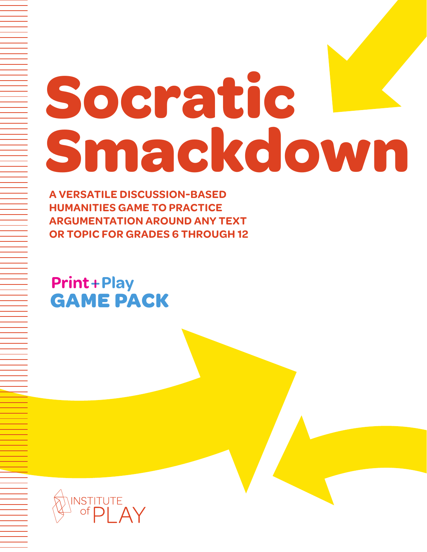# **Socratic Smackdown**

**A VERSATILE DISCUSSION-BASED HUMANITIES GAME TO PRACTICE ARGUMENTATION AROUND ANY TEXT OR TOPIC FOR GRADES 6 THROUGH 12**

**Print+Play GAME PACK**

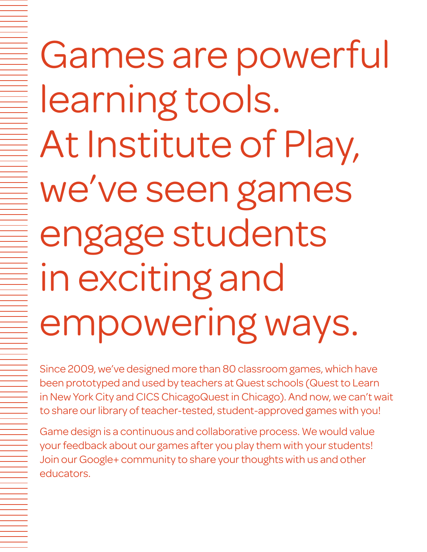Games are powerful learning tools. At Institute of Play, we've seen games engage students in exciting and empowering ways.

Since 2009, we've designed more than 80 classroom games, which have been prototyped and used by teachers at Quest schools (Quest to Learn in New York City and CICS ChicagoQuest in Chicago). And now, we can't wait to share our library of teacher-tested, student-approved games with you!

Game design is a continuous and collaborative process. We would value your feedback about our games after you play them with your students! Join our Google+ community to share your thoughts with us and other educators.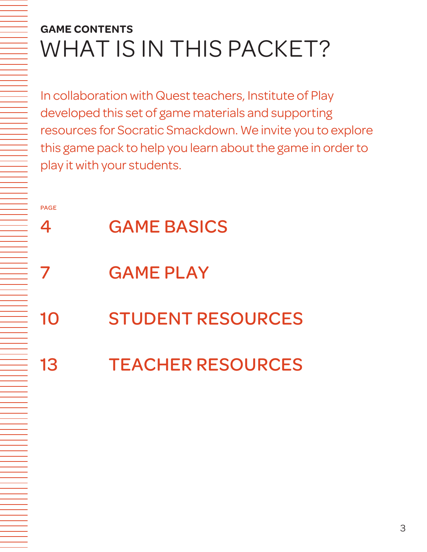# **GAME CONTENTS** WHAT IS IN THIS PACKET?

In collaboration with Quest teachers, Institute of Play developed this set of game materials and supporting resources for Socratic Smackdown. We invite you to explore this game pack to help you learn about the game in order to play it with your students.

PAGE

- 4 GAME BASICS
- **GAME PLAY**
- 10 STUDENT RESOURCES
- 13 TEACHER RESOURCES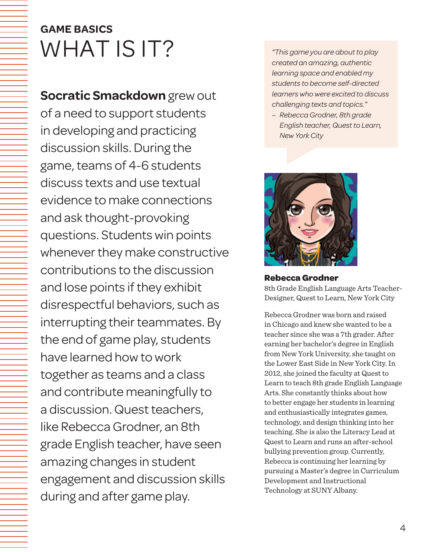# **GAME BASICS** WHAT IS IT?

**Socratic Smackdown** grew out of a need to support students in developing and practicing discussion skills. During the game, teams of 4-6 students discuss texts and use textual evidence to make connections and ask thought-provoking questions. Students win points whenever they make constructive contributions to the discussion and lose points if they exhibit disrespectful behaviors, such as interrupting their teammates. By the end of game play, students have learned how to work together as teams and a class and contribute meaningfully to a discussion. Quest teachers, like Rebecca Grodner, an 8th grade English teacher, have seen amazing changes in student engagement and discussion skills during and after game play.

*"This game you are about to play created an amazing, authentic learning space and enabled my students to become self-directed learners who were excited to discuss challenging texts and topics."* 

*– Rebecca Grodner, 8th grade English teacher, Quest to Learn, New York City*



# **Rebecca Grodner**

8th Grade English Language Arts Teacher-Designer, Quest to Learn, New York City

Rebecca Grodner was born and raised in Chicago and knew she wanted to be a teacher since she was a 7th grader. After earning her bachelor's degree in English from New York University, she taught on the Lower East Side in New York City. In 2012, she joined the faculty at Quest to Learn to teach 8th grade English Language Arts. She constantly thinks about how to better engage her students in learning and enthusiastically integrates games, technology, and design thinking into her teaching. She is also the Literacy Lead at Quest to Learn and runs an after-school bullying prevention group. Currently, Rebecca is continuing her learning by pursuing a Master's degree in Curriculum Development and Instructional Technology at SUNY Albany.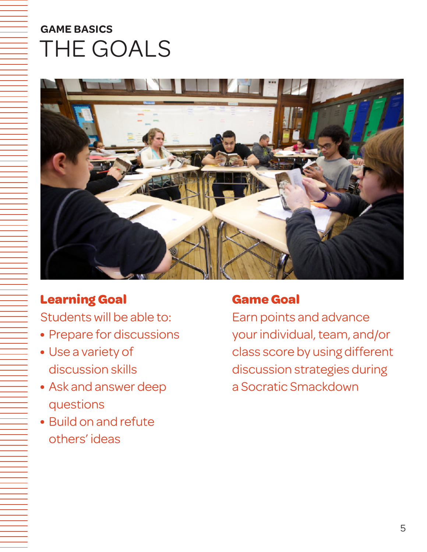# **GAME BASICS** THE GOALS



# **Learning Goal**

Students will be able to:

- Prepare for discussions
- Use a variety of discussion skills
- Ask and answer deep questions
- Build on and refute others' ideas

# **Game Goal**

Earn points and advance your individual, team, and/or class score by using different discussion strategies during a Socratic Smackdown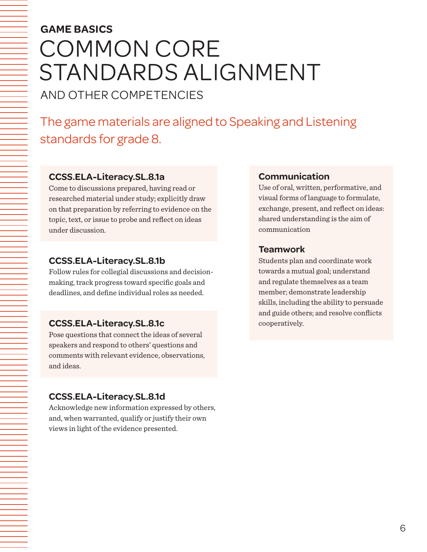# **GAME BASICS** COMMON CORE STANDARDS ALIGNMENT AND OTHER COMPETENCIES

The game materials are aligned to Speaking and Listening standards for grade 8.

#### **CCSS.ELA-Literacy.SL.8.1a**

Come to discussions prepared, having read or researched material under study; explicitly draw on that preparation by referring to evidence on the topic, text, or issue to probe and reflect on ideas under discussion.

#### **CCSS.ELA-Literacy.SL.8.1b**

Follow rules for collegial discussions and decisionmaking, track progress toward specific goals and deadlines, and define individual roles as needed.

#### **CCSS.ELA-Literacy.SL.8.1c**

Pose questions that connect the ideas of several speakers and respond to others' questions and comments with relevant evidence, observations, and ideas.

#### **CCSS.ELA-Literacy.SL.8.1d**

Acknowledge new information expressed by others, and, when warranted, qualify or justify their own views in light of the evidence presented.

#### **Communication**

Use of oral, written, performative, and visual forms of language to formulate, exchange, present, and reflect on ideas: shared understanding is the aim of communication

#### **Teamwork**

Students plan and coordinate work towards a mutual goal; understand and regulate themselves as a team member; demonstrate leadership skills, including the ability to persuade and guide others; and resolve conflicts cooperatively.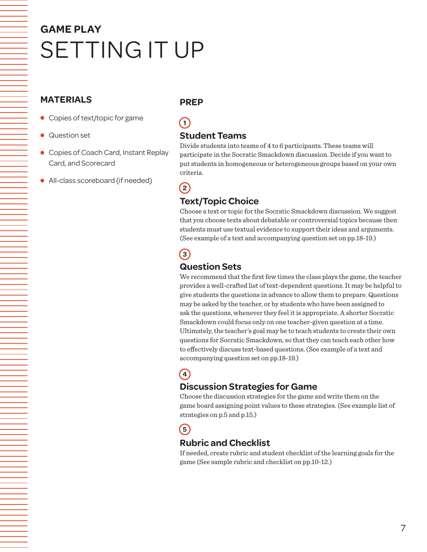# **GAME PLAY** SETTING IT UP

#### **MATERIALS**

- Copies of text/topic for game
- Question set
- Copies of Coach Card, Instant Replay Card, and Scorecard
- All-class scoreboard (if needed)

#### **PREP**

**1**

### **Student Teams**

Divide students into teams of 4 to 6 participants. These teams will participate in the Socratic Smackdown discussion. Decide if you want to put students in homogeneous or heterogeneous groups based on your own criteria.

# **2**

## **Text/Topic Choice**

Choose a text or topic for the Socratic Smackdown discussion. We suggest that you choose texts about debatable or controversial topics because then students must use textual evidence to support their ideas and arguments. (See example of a text and accompanying question set on pp.18-19.)

# **3**

### **Question Sets**

We recommend that the first few times the class plays the game, the teacher provides a well-crafted list of text-dependent questions. It may be helpful to give students the questions in advance to allow them to prepare. Questions may be asked by the teacher, or by students who have been assigned to ask the questions, whenever they feel it is appropriate. A shorter Socratic Smackdown could focus only on one teacher-given question at a time. Ultimately, the teacher's goal may be to teach students to create their own questions for Socratic Smackdown, so that they can teach each other how to effectively discuss text-based questions. (See example of a text and accompanying question set on pp.18-19.)

# **4**

### **Discussion Strategies for Game**

Choose the discussion strategies for the game and write them on the game board assigning point values to these strategies. (See example list of strategies on p.5 and p.15.)

### **5**

### **Rubric and Checklist**

If needed, create rubric and student checklist of the learning goals for the game (See sample rubric and checklist on pp.10-12.)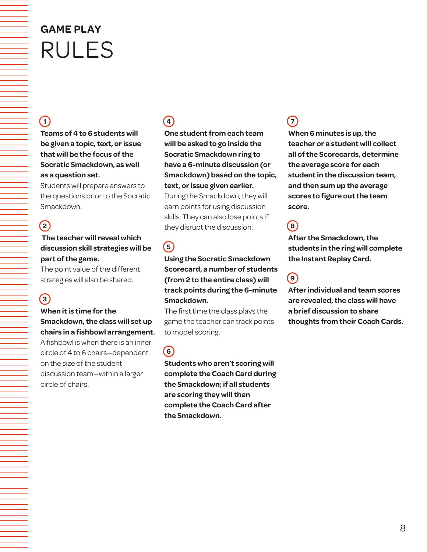# **GAME PLAY** RULES

# $(1)$

**Teams of 4 to 6 students will be given a topic, text, or issue that will be the focus of the Socratic Smackdown, as well as a question set.** 

Students will prepare answers to the questions prior to the Socratic Smackdown.

### **2**

#### **The teacher will reveal which discussion skill strategies will be part of the game.**

The point value of the different strategies will also be shared.

# **3**

#### **When it is time for the Smackdown, the class will set up chairs in a fishbowl arrangement.** A fishbowl is when there is an inner circle of 4 to 6 chairs—dependent on the size of the student discussion team—within a larger circle of chairs.

# **4**

**One student from each team will be asked to go inside the Socratic Smackdown ring to have a 6-minute discussion (or Smackdown) based on the topic, text, or issue given earlier.**

During the Smackdown, they will earn points for using discussion skills. They can also lose points if they disrupt the discussion.

# **5**

#### **Using the Socratic Smackdown Scorecard, a number of students (from 2 to the entire class) will track points during the 6-minute Smackdown.**

The first time the class plays the game the teacher can track points to model scoring.

### **6**

**Students who aren't scoring will complete the Coach Card during the Smackdown; if all students are scoring they will then complete the Coach Card after the Smackdown.** 

# **7**

**When 6 minutes is up, the teacher or a student will collect all of the Scorecards, determine the average score for each student in the discussion team, and then sum up the average scores to figure out the team score.** 

# **8**

**After the Smackdown, the students in the ring will complete the Instant Replay Card.** 

# **9**

**After individual and team scores are revealed, the class will have a brief discussion to share thoughts from their Coach Cards.**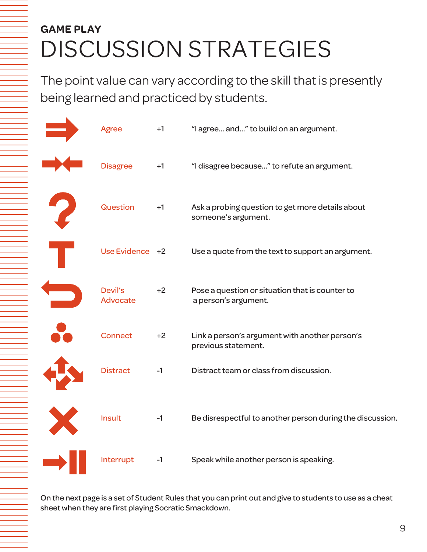# DISCUSSION STRATEGIES **GAME PLAY**

The point value can vary according to the skill that is presently being learned and practiced by students.

| <b>Agree</b>                      | $+1$ | "I agree and" to build on an argument.                                  |
|-----------------------------------|------|-------------------------------------------------------------------------|
| <b>Disagree</b>                   | $+1$ | "I disagree because" to refute an argument.                             |
| Question                          | $+1$ | Ask a probing question to get more details about<br>someone's argument. |
| Use Evidence +2                   |      | Use a quote from the text to support an argument.                       |
| <b>Devil's</b><br><b>Advocate</b> | $+2$ | Pose a question or situation that is counter to<br>a person's argument. |
| <b>Connect</b>                    | $+2$ | Link a person's argument with another person's<br>previous statement.   |
| <b>Distract</b>                   | $-1$ | Distract team or class from discussion.                                 |
| Insult                            | $-1$ | Be disrespectful to another person during the discussion.               |
| Interrupt                         | $-1$ | Speak while another person is speaking.                                 |

On the next page is a set of Student Rules that you can print out and give to students to use as a cheat sheet when they are first playing Socratic Smackdown.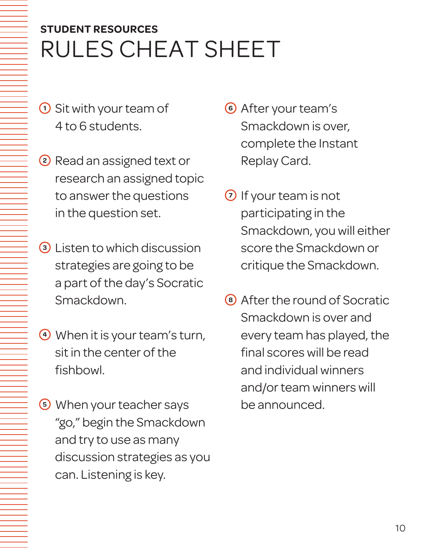# RULES CHEAT SHEET **STUDENT RESOURCES**

- **<sup>1</sup>** Sit with your team of 4 to 6 students.
- **<sup>2</sup>** Read an assigned text or research an assigned topic to answer the questions in the question set.
- **<sup>3</sup>** Listen to which discussion strategies are going to be a part of the day's Socratic Smackdown.
- **<sup>4</sup>** When it is your team's turn, sit in the center of the fishbowl.
- **<sup>5</sup>** When your teacher says "go," begin the Smackdown and try to use as many discussion strategies as you can. Listening is key.
- **<sup>6</sup>** After your team's Smackdown is over, complete the Instant Replay Card.
- **<sup>7</sup>** If your team is not participating in the Smackdown, you will either score the Smackdown or critique the Smackdown.
- **<sup>8</sup>** After the round of Socratic Smackdown is over and every team has played, the final scores will be read and individual winners and/or team winners will be announced.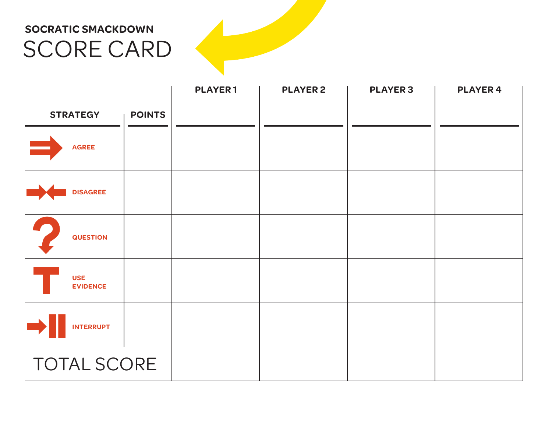# SCORE CARD **SOCRATIC SMACKDOWN**

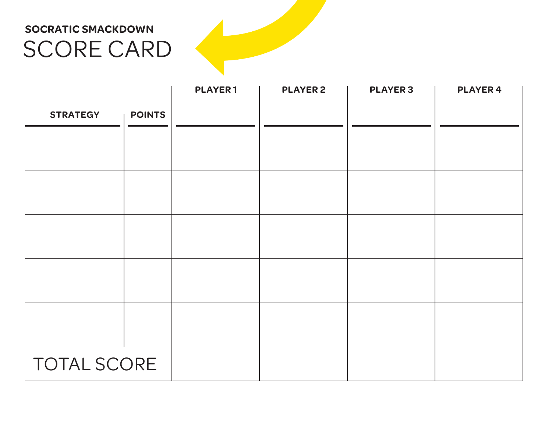# SCORE CARD **SOCRATIC SMACKDOWN**

|                    |               | <b>PLAYER1</b> | <b>PLAYER 2</b> | <b>PLAYER 3</b> | <b>PLAYER 4</b> |
|--------------------|---------------|----------------|-----------------|-----------------|-----------------|
| <b>STRATEGY</b>    | <b>POINTS</b> |                |                 |                 |                 |
|                    |               |                |                 |                 |                 |
|                    |               |                |                 |                 |                 |
|                    |               |                |                 |                 |                 |
|                    |               |                |                 |                 |                 |
|                    |               |                |                 |                 |                 |
|                    |               |                |                 |                 |                 |
|                    |               |                |                 |                 |                 |
|                    |               |                |                 |                 |                 |
|                    |               |                |                 |                 |                 |
|                    |               |                |                 |                 |                 |
| <b>TOTAL SCORE</b> |               |                |                 |                 |                 |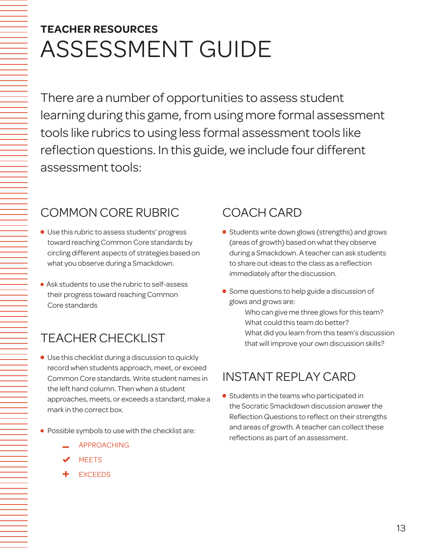# ASSESSMENT GUIDE **TEACHER RESOURCES**

There are a number of opportunities to assess student learning during this game, from using more formal assessment tools like rubrics to using less formal assessment tools like reflection questions. In this guide, we include four different assessment tools:

# COMMON CORE RUBRIC

- Use this rubric to assess students' progress toward reaching Common Core standards by circling different aspects of strategies based on what you observe during a Smackdown.
- Ask students to use the rubric to self-assess their progress toward reaching Common Core standards

# TEACHER CHECKLIST

- Use this checklist during a discussion to quickly record when students approach, meet, or exceed Common Core standards. Write student names in the left hand column. Then when a student approaches, meets, or exceeds a standard, make a mark in the correct box.
- Possible symbols to use with the checklist are:
	- APPROACHING
	- **MEETS**
	- **EXCEEDS**

# COACH CARD

- **•** Students write down glows (strengths) and grows (areas of growth) based on what they observe during a Smackdown. A teacher can ask students to share out ideas to the class as a reflection immediately after the discussion.
- **Some questions to help guide a discussion of** glows and grows are:
	- Who can give me three glows for this team? What could this team do better? What did you learn from this team's discussion that will improve your own discussion skills?

# INSTANT REPLAY CARD

**•** Students in the teams who participated in the Socratic Smackdown discussion answer the Reflection Questions to reflect on their strengths and areas of growth. A teacher can collect these reflections as part of an assessment.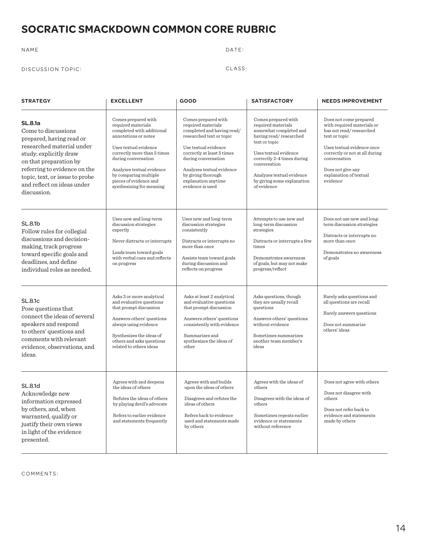### **SOCRATIC SMACKDOWN COMMON CORE RUBRIC**

#### NAME DATE:

#### DISCUSSION TOPIC: CLASS:

| <b>STRATEGY</b>                                                                                                                                                                                                                                                   | <b>EXCELLENT</b>                                                                                                                                                                                                                                                                          | <b>GOOD</b>                                                                                                                                                                                                                                                                    | <b>SATISFACTORY</b>                                                                                                                                                                                                                                             | <b>NEEDS IMPROVEMENT</b>                                                                                                                                                                                                                    |  |
|-------------------------------------------------------------------------------------------------------------------------------------------------------------------------------------------------------------------------------------------------------------------|-------------------------------------------------------------------------------------------------------------------------------------------------------------------------------------------------------------------------------------------------------------------------------------------|--------------------------------------------------------------------------------------------------------------------------------------------------------------------------------------------------------------------------------------------------------------------------------|-----------------------------------------------------------------------------------------------------------------------------------------------------------------------------------------------------------------------------------------------------------------|---------------------------------------------------------------------------------------------------------------------------------------------------------------------------------------------------------------------------------------------|--|
| <b>SL.8.1a</b><br>Come to discussions<br>prepared, having read or<br>researched material under<br>study; explicitly draw<br>on that preparation by<br>referring to evidence on the<br>topic, text, or issue to probe<br>and reflect on ideas under<br>discussion. | Comes prepared with<br>required materials<br>completed with additional<br>annotations or notes<br>Uses textual evidence<br>correctly more than 5 times<br>during conversation<br>Analyzes textual evidence<br>by comparing multiple<br>pieces of evidence and<br>synthesizing for meaning | Comes prepared with<br>required materials<br>completed and having read/<br>researched text or topic<br>Use textual evidence<br>correctly at least 5 times<br>during conversation<br>Analyzes textual evidence<br>by giving thorough<br>explanation anytime<br>evidence is used | Comes prepared with<br>required materials<br>somewhat completed and<br>having read/researched<br>text or topic<br>Uses textual evidence<br>correctly 2-4 times during<br>conversation<br>Analyzes textual evidence<br>by giving some explanation<br>of evidence | Does not come prepared<br>with required materials or<br>has not read/researched<br>text or topic<br>Uses textual evidence once<br>correctly or not at all during<br>conversation<br>Does not give any<br>explanation of textual<br>evidence |  |
| SL.8.1b<br>Follow rules for collegial<br>discussions and decision-<br>making, track progress<br>toward specific goals and<br>deadlines, and define<br>individual roles as needed.                                                                                 | Uses new and long-term<br>discussion strategies<br>expertly<br>Never distracts or interrupts<br>Leads team toward goals<br>with verbal cues and reflects<br>on progress                                                                                                                   | Uses new and long-term<br>discussion strategies<br>consistently<br>Distracts or interrupts no<br>more than once<br>Assists team toward goals<br>during discussion and<br>reflects on progress                                                                                  | Attempts to use new and<br>long-term discussion<br>strategies<br>Distracts or interrupts a few<br>times<br>Demonstrates awareness<br>of goals, but may not make<br>progress/reflect                                                                             | Does not use new and long-<br>term discussion strategies<br>Distracts or interrupts no<br>more than once<br>Demonstrates no awareness<br>of goals                                                                                           |  |
| <b>SL.8.1c</b><br>Pose questions that<br>connect the ideas of several<br>speakers and respond<br>to others' questions and<br>comments with relevant<br>evidence, observations, and<br>ideas.                                                                      | Asks 3 or more analytical<br>and evaluative questions<br>that prompt discussion<br>Answers others' questions<br>always using evidence<br>Synthesizes the ideas of<br>others and asks questions<br>related to others ideas                                                                 | Asks at least 2 analytical<br>and evaluative questions<br>that prompt discussion<br>Answers others' questions<br>consistently with evidence<br>Summarizes and<br>synthesizes the ideas of<br>other                                                                             | Asks questions, though<br>they are usually recall<br>questions<br>Answers others' questions<br>without evidence<br>Sometimes summarizes<br>another team member's<br>ideas                                                                                       | Rarely asks questions and<br>all questions are recall<br>Rarely answers questions<br>Does not summarize<br>others' ideas                                                                                                                    |  |
| <b>SL.8.1d</b><br>Acknowledge new<br>information expressed<br>by others, and, when<br>warranted, qualify or<br>justify their own views<br>in light of the evidence<br>presented.                                                                                  | Agrees with and deepens<br>the ideas of others<br>Refutes the ideas of others<br>by playing devil's advocate<br>Refers to earlier evidence<br>and statements frequently                                                                                                                   | Agrees with and builds<br>upon the ideas of others<br>Disagrees and refutes the<br>ideas of others<br>Refers back to evidence<br>used and statements made<br>by others                                                                                                         | Agrees with the ideas of<br>others<br>Disagrees with the ideas of<br>others<br>Sometimes repeats earlier<br>evidence or statements<br>without reference                                                                                                         | Does not agree with others<br>Does not disagree with<br>others<br>Does not refer back to<br>evidence and statements<br>made by others                                                                                                       |  |

COMMENTS: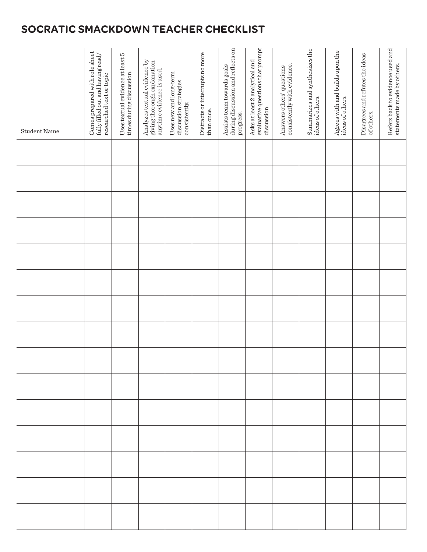# **SOCRATIC SMACKDOWN TEACHER CHECKLIST**

| <b>Student Name</b> | Comes prepared with role sheet<br>fully filled out and having read/<br>researched text or topic | Uses textual evidence at least 5<br>times during discussion. | Analyzes textual evidence by<br>giving thorough explanation<br>anytime evidence is used. | Uses new and long-term<br>discussion strategies<br>consistently. | Distracts or interrupts no more<br>than once. | during discussion and reflects on<br>Assists team towards goals<br>progress. | evaluative questions that prompt<br>Asks at least 2 analytical and<br>discussion. | Answers others' questions<br>consistently with evidence. | Summarizes and synthesizes the<br>ideas of others. | Agrees with and builds upon the<br>ideas of others. | Disagrees and refutes the ideas<br>of others. | Refers back to evidence used and<br>statements made by others. |
|---------------------|-------------------------------------------------------------------------------------------------|--------------------------------------------------------------|------------------------------------------------------------------------------------------|------------------------------------------------------------------|-----------------------------------------------|------------------------------------------------------------------------------|-----------------------------------------------------------------------------------|----------------------------------------------------------|----------------------------------------------------|-----------------------------------------------------|-----------------------------------------------|----------------------------------------------------------------|
|                     |                                                                                                 |                                                              |                                                                                          |                                                                  |                                               |                                                                              |                                                                                   |                                                          |                                                    |                                                     |                                               |                                                                |
|                     |                                                                                                 |                                                              |                                                                                          |                                                                  |                                               |                                                                              |                                                                                   |                                                          |                                                    |                                                     |                                               |                                                                |
|                     |                                                                                                 |                                                              |                                                                                          |                                                                  |                                               |                                                                              |                                                                                   |                                                          |                                                    |                                                     |                                               |                                                                |
|                     |                                                                                                 |                                                              |                                                                                          |                                                                  |                                               |                                                                              |                                                                                   |                                                          |                                                    |                                                     |                                               |                                                                |
|                     |                                                                                                 |                                                              |                                                                                          |                                                                  |                                               |                                                                              |                                                                                   |                                                          |                                                    |                                                     |                                               |                                                                |
|                     |                                                                                                 |                                                              |                                                                                          |                                                                  |                                               |                                                                              |                                                                                   |                                                          |                                                    |                                                     |                                               |                                                                |
|                     |                                                                                                 |                                                              |                                                                                          |                                                                  |                                               |                                                                              |                                                                                   |                                                          |                                                    |                                                     |                                               |                                                                |
|                     |                                                                                                 |                                                              |                                                                                          |                                                                  |                                               |                                                                              |                                                                                   |                                                          |                                                    |                                                     |                                               |                                                                |
|                     |                                                                                                 |                                                              |                                                                                          |                                                                  |                                               |                                                                              |                                                                                   |                                                          |                                                    |                                                     |                                               |                                                                |
|                     |                                                                                                 |                                                              |                                                                                          |                                                                  |                                               |                                                                              |                                                                                   |                                                          |                                                    |                                                     |                                               |                                                                |
|                     |                                                                                                 |                                                              |                                                                                          |                                                                  |                                               |                                                                              |                                                                                   |                                                          |                                                    |                                                     |                                               |                                                                |
|                     |                                                                                                 |                                                              |                                                                                          |                                                                  |                                               |                                                                              |                                                                                   |                                                          |                                                    |                                                     |                                               |                                                                |
|                     |                                                                                                 |                                                              |                                                                                          |                                                                  |                                               |                                                                              |                                                                                   |                                                          |                                                    |                                                     |                                               |                                                                |
|                     |                                                                                                 |                                                              |                                                                                          |                                                                  |                                               |                                                                              |                                                                                   |                                                          |                                                    |                                                     |                                               |                                                                |
|                     |                                                                                                 |                                                              |                                                                                          |                                                                  |                                               |                                                                              |                                                                                   |                                                          |                                                    |                                                     |                                               |                                                                |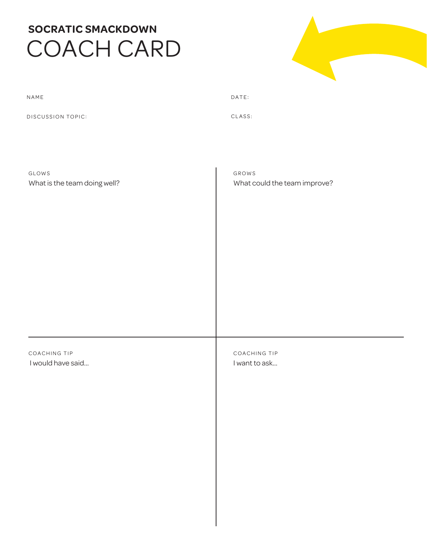# **SOCRATIC SMACKDOWN** COACH CARD



| NAME                         | DATE:                        |
|------------------------------|------------------------------|
| <b>DISCUSSION TOPIC:</b>     | CLASS:                       |
|                              |                              |
|                              |                              |
| GLOWS                        | GROWS                        |
| What is the team doing well? | What could the team improve? |

COACHING TIP I would have said… COACHING TIP I want to ask…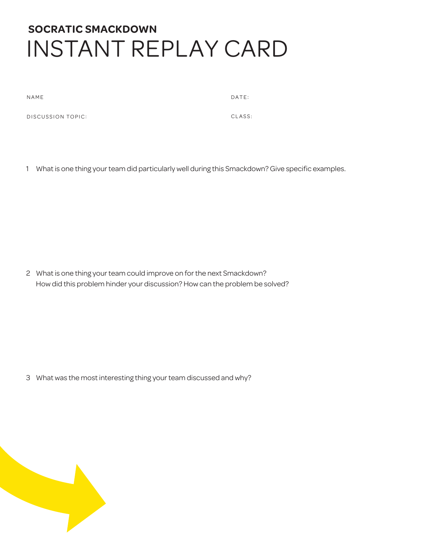# **SOCRATIC SMACKDOWN** INSTANT REPLAY CARD

NAME DATE:

DISCUSSION TOPIC: CLASS:

1 What is one thing your team did particularly well during this Smackdown? Give specific examples.

2 What is one thing your team could improve on for the next Smackdown? How did this problem hinder your discussion? How can the problem be solved?

3 What was the most interesting thing your team discussed and why?

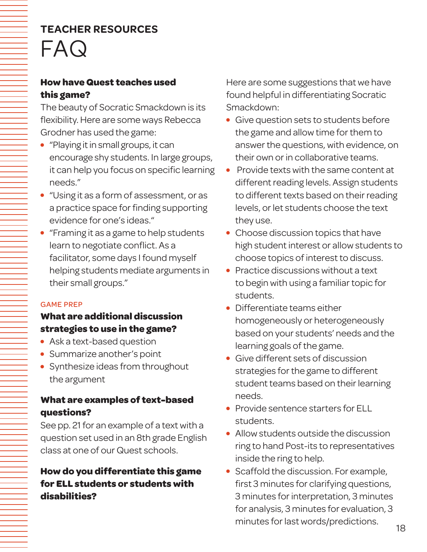### **How have Quest teaches used this game?**

The beauty of Socratic Smackdown is its flexibility. Here are some ways Rebecca Grodner has used the game:

- "Playing it in small groups, it can encourage shy students. In large groups, it can help you focus on specific learning needs."
- "Using it as a form of assessment, or as a practice space for finding supporting evidence for one's ideas."
- "Framing it as a game to help students learn to negotiate conflict. As a facilitator, some days I found myself helping students mediate arguments in their small groups."

#### GAME PREP

## **What are additional discussion strategies to use in the game?**

- Ask a text-based question
- Summarize another's point
- Synthesize ideas from throughout the argument

### **What are examples of text-based questions?**

See pp. 21 for an example of a text with a question set used in an 8th grade English class at one of our Quest schools.

## **How do you differentiate this game for ELL students or students with disabilities?**

Here are some suggestions that we have found helpful in differentiating Socratic Smackdown:

- Give question sets to students before the game and allow time for them to answer the questions, with evidence, on their own or in collaborative teams.
- Provide texts with the same content at different reading levels. Assign students to different texts based on their reading levels, or let students choose the text they use.
- Choose discussion topics that have high student interest or allow students to choose topics of interest to discuss.
- Practice discussions without a text to begin with using a familiar topic for students.
- Differentiate teams either homogeneously or heterogeneously based on your students' needs and the learning goals of the game.
- Give different sets of discussion strategies for the game to different student teams based on their learning needs.
- Provide sentence starters for ELL students.
- Allow students outside the discussion ring to hand Post-its to representatives inside the ring to help.
- Scaffold the discussion. For example, first 3 minutes for clarifying questions, 3 minutes for interpretation, 3 minutes for analysis, 3 minutes for evaluation, 3 minutes for last words/predictions.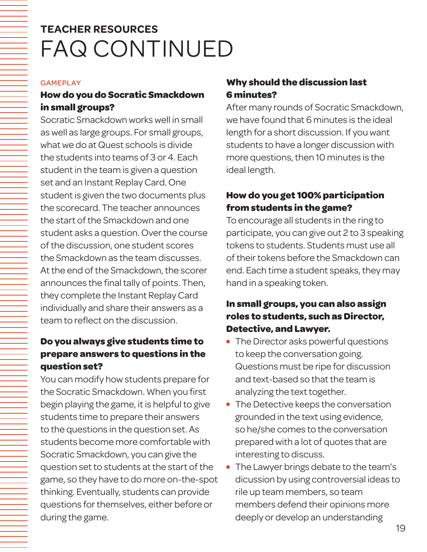# **TEACHER RESOURCES** FAQ CONTINUED

#### GAMEPLAY

### **How do you do Socratic Smackdown in small groups?**

Socratic Smackdown works well in small as well as large groups. For small groups, what we do at Quest schools is divide the students into teams of 3 or 4. Each student in the team is given a question set and an Instant Replay Card. One student is given the two documents plus the scorecard. The teacher announces the start of the Smackdown and one student asks a question. Over the course of the discussion, one student scores the Smackdown as the team discusses. At the end of the Smackdown, the scorer announces the final tally of points. Then, they complete the Instant Replay Card individually and share their answers as a team to reflect on the discussion.

### **Do you always give students time to prepare answers to questions in the question set?**

You can modify how students prepare for the Socratic Smackdown. When you first begin playing the game, it is helpful to give students time to prepare their answers to the questions in the question set. As students become more comfortable with Socratic Smackdown, you can give the question set to students at the start of the game, so they have to do more on-the-spot thinking. Eventually, students can provide questions for themselves, either before or during the game.

### **Why should the discussion last 6 minutes?**

After many rounds of Socratic Smackdown, we have found that 6 minutes is the ideal length for a short discussion. If you want students to have a longer discussion with more questions, then 10 minutes is the ideal length.

### **How do you get 100% participation from students in the game?**

To encourage all students in the ring to participate, you can give out 2 to 3 speaking tokens to students. Students must use all of their tokens before the Smackdown can end. Each time a student speaks, they may hand in a speaking token.

### **In small groups, you can also assign roles to students, such as Director, Detective, and Lawyer.**

- The Director asks powerful questions to keep the conversation going. Questions must be ripe for discussion and text-based so that the team is analyzing the text together.
- The Detective keeps the conversation grounded in the text using evidence, so he/she comes to the conversation prepared with a lot of quotes that are interesting to discuss.
- The Lawyer brings debate to the team's dicussion by using controversial ideas to rile up team members, so team members defend their opinions more deeply or develop an understanding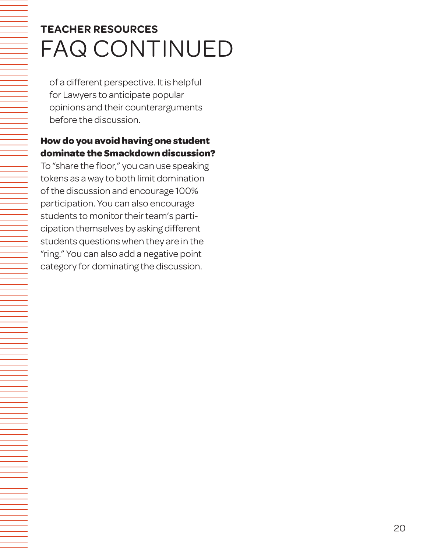# **TEACHER RESOURCES** FAQ CONTINUED

of a different perspective. It is helpful for Lawyers to anticipate popular opinions and their counterarguments before the discussion.

### **How do you avoid having one student dominate the Smackdown discussion?**

To "share the floor," you can use speaking tokens as a way to both limit domination of the discussion and encourage 100% participation. You can also encourage students to monitor their team's participation themselves by asking different students questions when they are in the "ring." You can also add a negative point category for dominating the discussion.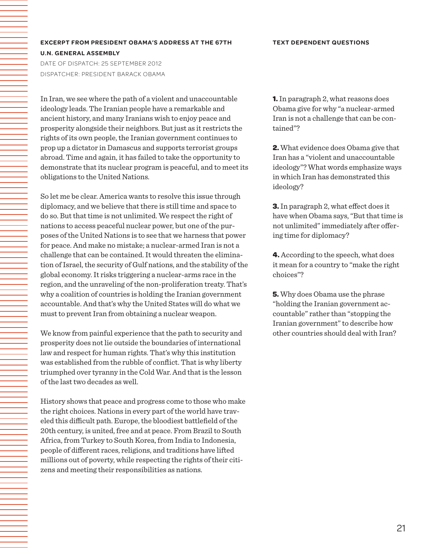#### **TEXT DEPENDENT QUESTIONS**

#### **EXCERPT FROM PRESIDENT OBAMA'S ADDRESS AT THE 67TH U.N. GENERAL ASSEMBLY**

DATE OF DISPATCH: 25 SEPTEMBER 2012 DISPATCHER: PRESIDENT BARACK OBAMA

In Iran, we see where the path of a violent and unaccountable ideology leads. The Iranian people have a remarkable and ancient history, and many Iranians wish to enjoy peace and prosperity alongside their neighbors. But just as it restricts the rights of its own people, the Iranian government continues to prop up a dictator in Damascus and supports terrorist groups abroad. Time and again, it has failed to take the opportunity to demonstrate that its nuclear program is peaceful, and to meet its obligations to the United Nations.

So let me be clear. America wants to resolve this issue through diplomacy, and we believe that there is still time and space to do so. But that time is not unlimited. We respect the right of nations to access peaceful nuclear power, but one of the purposes of the United Nations is to see that we harness that power for peace. And make no mistake; a nuclear-armed Iran is not a challenge that can be contained. It would threaten the elimination of Israel, the security of Gulf nations, and the stability of the global economy. It risks triggering a nuclear-arms race in the region, and the unraveling of the non-proliferation treaty. That's why a coalition of countries is holding the Iranian government accountable. And that's why the United States will do what we must to prevent Iran from obtaining a nuclear weapon.

We know from painful experience that the path to security and prosperity does not lie outside the boundaries of international law and respect for human rights. That's why this institution was established from the rubble of conflict. That is why liberty triumphed over tyranny in the Cold War. And that is the lesson of the last two decades as well.

History shows that peace and progress come to those who make the right choices. Nations in every part of the world have traveled this difficult path. Europe, the bloodiest battlefield of the 20th century, is united, free and at peace. From Brazil to South Africa, from Turkey to South Korea, from India to Indonesia, people of different races, religions, and traditions have lifted millions out of poverty, while respecting the rights of their citizens and meeting their responsibilities as nations.

**1.** In paragraph 2, what reasons does Obama give for why "a nuclear-armed Iran is not a challenge that can be contained"?

**2.** What evidence does Obama give that Iran has a "violent and unaccountable ideology"? What words emphasize ways in which Iran has demonstrated this ideology?

**3.** In paragraph 2, what effect does it have when Obama says, "But that time is not unlimited" immediately after offering time for diplomacy?

**4.** According to the speech, what does it mean for a country to "make the right choices"?

**5.** Why does Obama use the phrase "holding the Iranian government accountable" rather than "stopping the Iranian government" to describe how other countries should deal with Iran?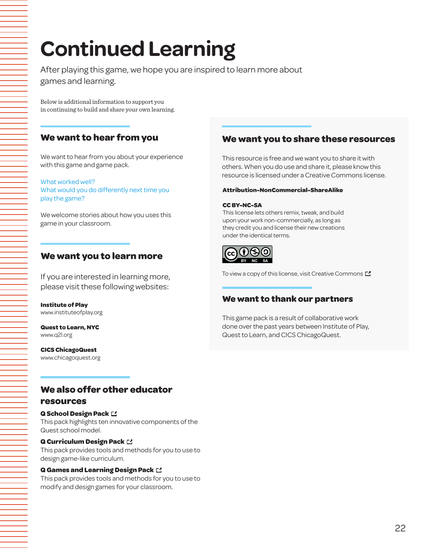# **Continued Learning**

After playing this game, we hope you are inspired to learn more about games and learning.

Below is additional information to support you in continuing to build and share your own learning.

#### **We want to hear from you**

We want to hear from you about your experience with this game and game pack.

What worked well? What would you do differently next time you play the game?

We welcome stories about how you uses this game in your classroom.

#### **We want you to learn more**

If you are interested in learning more, please visit these following websites:

**Institute of Play** www.instituteofplay.org

**Quest to Learn, NYC** www.q2l.org

**CICS ChicagoQuest** www.chicagoquest.org

### **We want you to share these resources**

This resource is free and we want you to share it with others. When you do use and share it, please know this resource is licensed under a Creative Commons license.

#### **Attribution-NonCommercial-ShareAlike**

#### **CC BY-NC-SA**

This license lets others remix, tweak, and build upon your work non-commercially, as long as they credit you and license their new creations under the identical terms.



To view a copy of this license, visit Creative Commons  $\square$ 

#### **We want to thank our partners**

This game pack is a result of collaborative work done over the past years between Institute of Play, Quest to Learn, and CICS ChicagoQuest.

# **We also offer other educator**

#### **resources**

#### **Q School Design Pack**

This pack highlights ten innovative components of the Quest school model.

#### **Q Curriculum Design Pack**

This pack provides tools and methods for you to use to design game-like curriculum.

#### **Q Games and Learning Design Pack**

This pack provides tools and methods for you to use to modify and design games for your classroom.